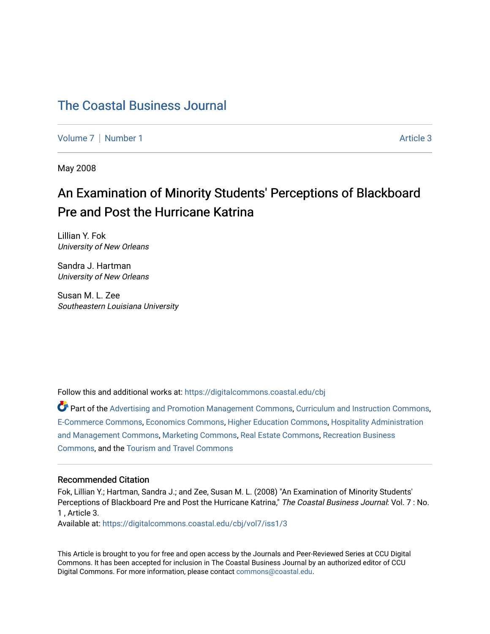# [The Coastal Business Journal](https://digitalcommons.coastal.edu/cbj)

[Volume 7](https://digitalcommons.coastal.edu/cbj/vol7) | [Number 1](https://digitalcommons.coastal.edu/cbj/vol7/iss1) Article 3

May 2008

# An Examination of Minority Students' Perceptions of Blackboard Pre and Post the Hurricane Katrina

Lillian Y. Fok University of New Orleans

Sandra J. Hartman University of New Orleans

Susan M. L. Zee Southeastern Louisiana University

Follow this and additional works at: [https://digitalcommons.coastal.edu/cbj](https://digitalcommons.coastal.edu/cbj?utm_source=digitalcommons.coastal.edu%2Fcbj%2Fvol7%2Fiss1%2F3&utm_medium=PDF&utm_campaign=PDFCoverPages) 

Part of the [Advertising and Promotion Management Commons,](http://network.bepress.com/hgg/discipline/626?utm_source=digitalcommons.coastal.edu%2Fcbj%2Fvol7%2Fiss1%2F3&utm_medium=PDF&utm_campaign=PDFCoverPages) [Curriculum and Instruction Commons,](http://network.bepress.com/hgg/discipline/786?utm_source=digitalcommons.coastal.edu%2Fcbj%2Fvol7%2Fiss1%2F3&utm_medium=PDF&utm_campaign=PDFCoverPages) [E-Commerce Commons,](http://network.bepress.com/hgg/discipline/624?utm_source=digitalcommons.coastal.edu%2Fcbj%2Fvol7%2Fiss1%2F3&utm_medium=PDF&utm_campaign=PDFCoverPages) [Economics Commons](http://network.bepress.com/hgg/discipline/340?utm_source=digitalcommons.coastal.edu%2Fcbj%2Fvol7%2Fiss1%2F3&utm_medium=PDF&utm_campaign=PDFCoverPages), [Higher Education Commons](http://network.bepress.com/hgg/discipline/1245?utm_source=digitalcommons.coastal.edu%2Fcbj%2Fvol7%2Fiss1%2F3&utm_medium=PDF&utm_campaign=PDFCoverPages), [Hospitality Administration](http://network.bepress.com/hgg/discipline/632?utm_source=digitalcommons.coastal.edu%2Fcbj%2Fvol7%2Fiss1%2F3&utm_medium=PDF&utm_campaign=PDFCoverPages) [and Management Commons,](http://network.bepress.com/hgg/discipline/632?utm_source=digitalcommons.coastal.edu%2Fcbj%2Fvol7%2Fiss1%2F3&utm_medium=PDF&utm_campaign=PDFCoverPages) [Marketing Commons](http://network.bepress.com/hgg/discipline/638?utm_source=digitalcommons.coastal.edu%2Fcbj%2Fvol7%2Fiss1%2F3&utm_medium=PDF&utm_campaign=PDFCoverPages), [Real Estate Commons](http://network.bepress.com/hgg/discipline/641?utm_source=digitalcommons.coastal.edu%2Fcbj%2Fvol7%2Fiss1%2F3&utm_medium=PDF&utm_campaign=PDFCoverPages), [Recreation Business](http://network.bepress.com/hgg/discipline/1083?utm_source=digitalcommons.coastal.edu%2Fcbj%2Fvol7%2Fiss1%2F3&utm_medium=PDF&utm_campaign=PDFCoverPages) [Commons](http://network.bepress.com/hgg/discipline/1083?utm_source=digitalcommons.coastal.edu%2Fcbj%2Fvol7%2Fiss1%2F3&utm_medium=PDF&utm_campaign=PDFCoverPages), and the [Tourism and Travel Commons](http://network.bepress.com/hgg/discipline/1082?utm_source=digitalcommons.coastal.edu%2Fcbj%2Fvol7%2Fiss1%2F3&utm_medium=PDF&utm_campaign=PDFCoverPages)

#### Recommended Citation

Fok, Lillian Y.; Hartman, Sandra J.; and Zee, Susan M. L. (2008) "An Examination of Minority Students' Perceptions of Blackboard Pre and Post the Hurricane Katrina," The Coastal Business Journal: Vol. 7 : No. 1 , Article 3.

Available at: [https://digitalcommons.coastal.edu/cbj/vol7/iss1/3](https://digitalcommons.coastal.edu/cbj/vol7/iss1/3?utm_source=digitalcommons.coastal.edu%2Fcbj%2Fvol7%2Fiss1%2F3&utm_medium=PDF&utm_campaign=PDFCoverPages)

This Article is brought to you for free and open access by the Journals and Peer-Reviewed Series at CCU Digital Commons. It has been accepted for inclusion in The Coastal Business Journal by an authorized editor of CCU Digital Commons. For more information, please contact [commons@coastal.edu](mailto:commons@coastal.edu).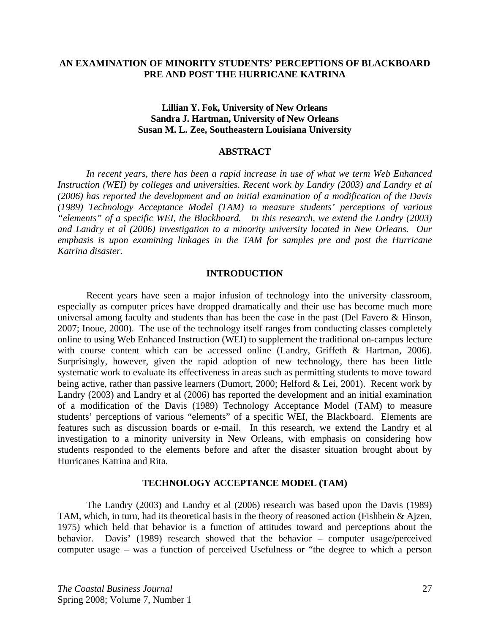#### **AN EXAMINATION OF MINORITY STUDENTS' PERCEPTIONS OF BLACKBOARD PRE AND POST THE HURRICANE KATRINA**

# **Lillian Y. Fok, University of New Orleans Sandra J. Hartman, University of New Orleans Susan M. L. Zee, Southeastern Louisiana University**

#### **ABSTRACT**

 *In recent years, there has been a rapid increase in use of what we term Web Enhanced Instruction (WEI) by colleges and universities. Recent work by Landry (2003) and Landry et al (2006) has reported the development and an initial examination of a modification of the Davis (1989) Technology Acceptance Model (TAM) to measure students' perceptions of various "elements" of a specific WEI, the Blackboard. In this research, we extend the Landry (2003) and Landry et al (2006) investigation to a minority university located in New Orleans. Our emphasis is upon examining linkages in the TAM for samples pre and post the Hurricane Katrina disaster.*

#### **INTRODUCTION**

Recent years have seen a major infusion of technology into the university classroom, especially as computer prices have dropped dramatically and their use has become much more universal among faculty and students than has been the case in the past (Del Favero & Hinson, 2007; Inoue, 2000). The use of the technology itself ranges from conducting classes completely online to using Web Enhanced Instruction (WEI) to supplement the traditional on-campus lecture with course content which can be accessed online (Landry, Griffeth & Hartman, 2006). Surprisingly, however, given the rapid adoption of new technology, there has been little systematic work to evaluate its effectiveness in areas such as permitting students to move toward being active, rather than passive learners (Dumort, 2000; Helford & Lei, 2001). Recent work by Landry (2003) and Landry et al (2006) has reported the development and an initial examination of a modification of the Davis (1989) Technology Acceptance Model (TAM) to measure students' perceptions of various "elements" of a specific WEI, the Blackboard. Elements are features such as discussion boards or e-mail. In this research, we extend the Landry et al investigation to a minority university in New Orleans, with emphasis on considering how students responded to the elements before and after the disaster situation brought about by Hurricanes Katrina and Rita.

#### **TECHNOLOGY ACCEPTANCE MODEL (TAM)**

The Landry (2003) and Landry et al (2006) research was based upon the Davis (1989) TAM, which, in turn, had its theoretical basis in the theory of reasoned action (Fishbein & Ajzen, 1975) which held that behavior is a function of attitudes toward and perceptions about the behavior. Davis' (1989) research showed that the behavior – computer usage/perceived computer usage – was a function of perceived Usefulness or "the degree to which a person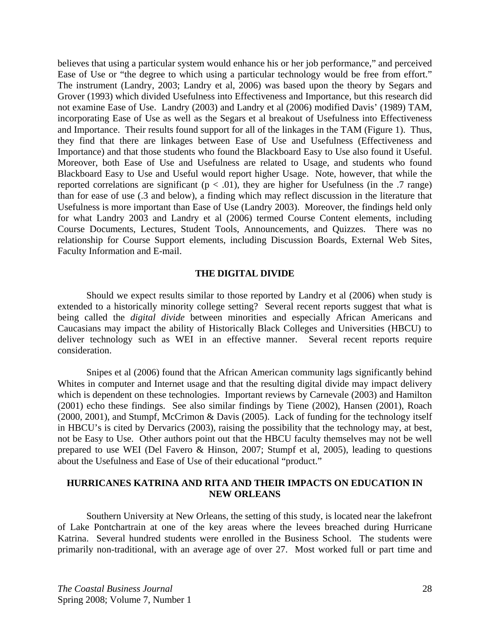believes that using a particular system would enhance his or her job performance," and perceived Ease of Use or "the degree to which using a particular technology would be free from effort." The instrument (Landry, 2003; Landry et al, 2006) was based upon the theory by Segars and Grover (1993) which divided Usefulness into Effectiveness and Importance, but this research did not examine Ease of Use. Landry (2003) and Landry et al (2006) modified Davis' (1989) TAM, incorporating Ease of Use as well as the Segars et al breakout of Usefulness into Effectiveness and Importance. Their results found support for all of the linkages in the TAM (Figure 1). Thus, they find that there are linkages between Ease of Use and Usefulness (Effectiveness and Importance) and that those students who found the Blackboard Easy to Use also found it Useful. Moreover, both Ease of Use and Usefulness are related to Usage, and students who found Blackboard Easy to Use and Useful would report higher Usage. Note, however, that while the reported correlations are significant ( $p < .01$ ), they are higher for Usefulness (in the .7 range) than for ease of use (.3 and below), a finding which may reflect discussion in the literature that Usefulness is more important than Ease of Use (Landry 2003). Moreover, the findings held only for what Landry 2003 and Landry et al (2006) termed Course Content elements, including Course Documents, Lectures, Student Tools, Announcements, and Quizzes. There was no relationship for Course Support elements, including Discussion Boards, External Web Sites, Faculty Information and E-mail.

#### **THE DIGITAL DIVIDE**

Should we expect results similar to those reported by Landry et al (2006) when study is extended to a historically minority college setting? Several recent reports suggest that what is being called the *digital divide* between minorities and especially African Americans and Caucasians may impact the ability of Historically Black Colleges and Universities (HBCU) to deliver technology such as WEI in an effective manner. Several recent reports require consideration.

Snipes et al (2006) found that the African American community lags significantly behind Whites in computer and Internet usage and that the resulting digital divide may impact delivery which is dependent on these technologies. Important reviews by Carnevale (2003) and Hamilton (2001) echo these findings. See also similar findings by Tiene (2002), Hansen (2001), Roach (2000, 2001), and Stumpf, McCrimon & Davis (2005). Lack of funding for the technology itself in HBCU's is cited by Dervarics (2003), raising the possibility that the technology may, at best, not be Easy to Use. Other authors point out that the HBCU faculty themselves may not be well prepared to use WEI (Del Favero & Hinson, 2007; Stumpf et al, 2005), leading to questions about the Usefulness and Ease of Use of their educational "product."

#### **HURRICANES KATRINA AND RITA AND THEIR IMPACTS ON EDUCATION IN NEW ORLEANS**

 Southern University at New Orleans, the setting of this study, is located near the lakefront of Lake Pontchartrain at one of the key areas where the levees breached during Hurricane Katrina. Several hundred students were enrolled in the Business School. The students were primarily non-traditional, with an average age of over 27. Most worked full or part time and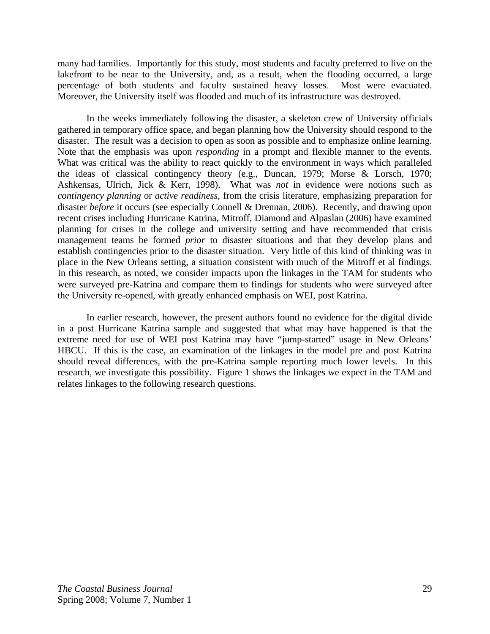many had families. Importantly for this study, most students and faculty preferred to live on the lakefront to be near to the University, and, as a result, when the flooding occurred, a large percentage of both students and faculty sustained heavy losses. Most were evacuated. Moreover, the University itself was flooded and much of its infrastructure was destroyed.

 In the weeks immediately following the disaster, a skeleton crew of University officials gathered in temporary office space, and began planning how the University should respond to the disaster. The result was a decision to open as soon as possible and to emphasize online learning. Note that the emphasis was upon *responding* in a prompt and flexible manner to the events. What was critical was the ability to react quickly to the environment in ways which paralleled the ideas of classical contingency theory (e.g., Duncan, 1979; Morse & Lorsch, 1970; Ashkensas, Ulrich, Jick & Kerr, 1998). What was *not* in evidence were notions such as *contingency planning* or *active readiness,* from the crisis literature, emphasizing preparation for disaster *before* it occurs (see especially Connell & Drennan, 2006). Recently, and drawing upon recent crises including Hurricane Katrina, Mitroff, Diamond and Alpaslan (2006) have examined planning for crises in the college and university setting and have recommended that crisis management teams be formed *prior* to disaster situations and that they develop plans and establish contingencies prior to the disaster situation. Very little of this kind of thinking was in place in the New Orleans setting, a situation consistent with much of the Mitroff et al findings. In this research, as noted, we consider impacts upon the linkages in the TAM for students who were surveyed pre-Katrina and compare them to findings for students who were surveyed after the University re-opened, with greatly enhanced emphasis on WEI, post Katrina.

In earlier research, however, the present authors found no evidence for the digital divide in a post Hurricane Katrina sample and suggested that what may have happened is that the extreme need for use of WEI post Katrina may have "jump-started" usage in New Orleans' HBCU. If this is the case, an examination of the linkages in the model pre and post Katrina should reveal differences, with the pre-Katrina sample reporting much lower levels. In this research, we investigate this possibility. Figure 1 shows the linkages we expect in the TAM and relates linkages to the following research questions.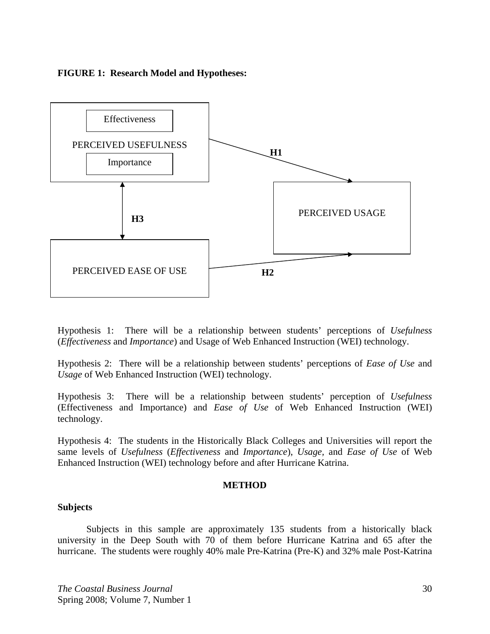#### **FIGURE 1: Research Model and Hypotheses:**



Hypothesis 1: There will be a relationship between students' perceptions of *Usefulness* (*Effectiveness* and *Importance*) and Usage of Web Enhanced Instruction (WEI) technology.

Hypothesis 2: There will be a relationship between students' perceptions of *Ease of Use* and *Usage* of Web Enhanced Instruction (WEI) technology.

Hypothesis 3: There will be a relationship between students' perception of *Usefulness* (Effectiveness and Importance) and *Ease of Use* of Web Enhanced Instruction (WEI) technology.

Hypothesis 4: The students in the Historically Black Colleges and Universities will report the same levels of *Usefulness* (*Effectiveness* and *Importance*), *Usage,* and *Ease of Use* of Web Enhanced Instruction (WEI) technology before and after Hurricane Katrina.

#### **METHOD**

#### **Subjects**

Subjects in this sample are approximately 135 students from a historically black university in the Deep South with 70 of them before Hurricane Katrina and 65 after the hurricane. The students were roughly 40% male Pre-Katrina (Pre-K) and 32% male Post-Katrina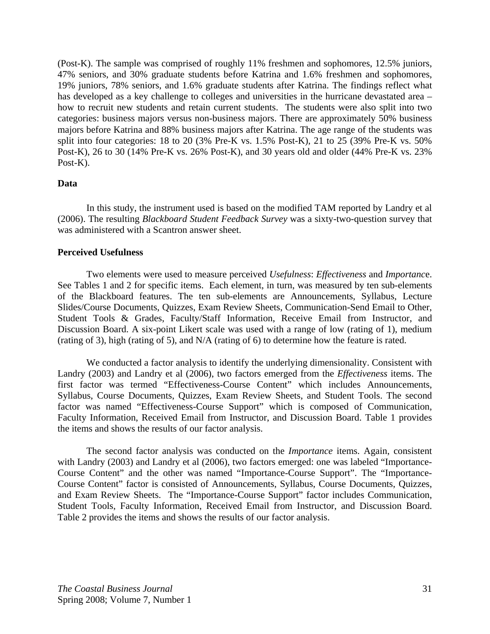(Post-K). The sample was comprised of roughly 11% freshmen and sophomores, 12.5% juniors, 47% seniors, and 30% graduate students before Katrina and 1.6% freshmen and sophomores, 19% juniors, 78% seniors, and 1.6% graduate students after Katrina. The findings reflect what has developed as a key challenge to colleges and universities in the hurricane devastated area – how to recruit new students and retain current students. The students were also split into two categories: business majors versus non-business majors. There are approximately 50% business majors before Katrina and 88% business majors after Katrina. The age range of the students was split into four categories: 18 to 20 (3% Pre-K vs. 1.5% Post-K), 21 to 25 (39% Pre-K vs. 50% Post-K), 26 to 30 (14% Pre-K vs. 26% Post-K), and 30 years old and older (44% Pre-K vs. 23% Post-K).

#### **Data**

In this study, the instrument used is based on the modified TAM reported by Landry et al (2006). The resulting *Blackboard Student Feedback Survey* was a sixty-two-question survey that was administered with a Scantron answer sheet.

#### **Perceived Usefulness**

Two elements were used to measure perceived *Usefulness*: *Effectiveness* and *Importanc*e. See Tables 1 and 2 for specific items. Each element, in turn, was measured by ten sub-elements of the Blackboard features. The ten sub-elements are Announcements, Syllabus, Lecture Slides/Course Documents, Quizzes, Exam Review Sheets, Communication-Send Email to Other, Student Tools & Grades, Faculty/Staff Information, Receive Email from Instructor, and Discussion Board. A six-point Likert scale was used with a range of low (rating of 1), medium (rating of 3), high (rating of 5), and N/A (rating of 6) to determine how the feature is rated.

 We conducted a factor analysis to identify the underlying dimensionality. Consistent with Landry (2003) and Landry et al (2006), two factors emerged from the *Effectiveness* items. The first factor was termed "Effectiveness-Course Content" which includes Announcements, Syllabus, Course Documents, Quizzes, Exam Review Sheets, and Student Tools. The second factor was named "Effectiveness-Course Support" which is composed of Communication, Faculty Information, Received Email from Instructor, and Discussion Board. Table 1 provides the items and shows the results of our factor analysis.

The second factor analysis was conducted on the *Importance* items. Again, consistent with Landry (2003) and Landry et al (2006), two factors emerged: one was labeled "Importance-Course Content" and the other was named "Importance-Course Support". The "Importance-Course Content" factor is consisted of Announcements, Syllabus, Course Documents, Quizzes, and Exam Review Sheets. The "Importance-Course Support" factor includes Communication, Student Tools, Faculty Information, Received Email from Instructor, and Discussion Board. Table 2 provides the items and shows the results of our factor analysis.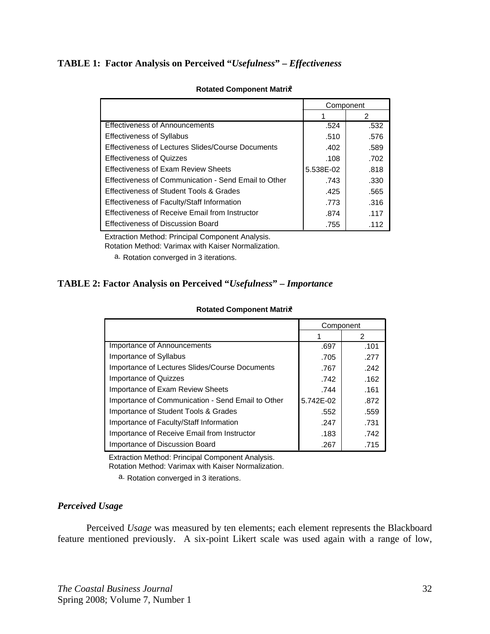# **TABLE 1: Factor Analysis on Perceived "***Usefulness***" –** *Effectiveness*

|                                                      | Component |      |
|------------------------------------------------------|-----------|------|
|                                                      |           | 2    |
| Effectiveness of Announcements                       | .524      | .532 |
| <b>Effectiveness of Syllabus</b>                     | .510      | .576 |
| Effectiveness of Lectures Slides/Course Documents    | .402      | .589 |
| <b>Effectiveness of Quizzes</b>                      | .108      | .702 |
| <b>Effectiveness of Exam Review Sheets</b>           | 5.538E-02 | .818 |
| Effectiveness of Communication - Send Email to Other | .743      | .330 |
| <b>Effectiveness of Student Tools &amp; Grades</b>   | .425      | .565 |
| Effectiveness of Faculty/Staff Information           | .773      | .316 |
| Effectiveness of Receive Email from Instructor       | .874      | .117 |
| <b>Effectiveness of Discussion Board</b>             | .755      | .112 |

#### **Rotated Component Matrix**

Extraction Method: Principal Component Analysis.

Rotation Method: Varimax with Kaiser Normalization.

a. Rotation converged in 3 iterations.

# **TABLE 2: Factor Analysis on Perceived "***Usefulness***" –** *Importance*

|                                                   | Component |      |
|---------------------------------------------------|-----------|------|
|                                                   |           | 2    |
| Importance of Announcements                       | .697      | .101 |
| Importance of Syllabus                            | .705      | .277 |
| Importance of Lectures Slides/Course Documents    | .767      | .242 |
| Importance of Quizzes                             | .742      | .162 |
| Importance of Exam Review Sheets                  | .744      | .161 |
| Importance of Communication - Send Email to Other | 5.742E-02 | .872 |
| Importance of Student Tools & Grades              | .552      | .559 |
| Importance of Faculty/Staff Information           | .247      | .731 |
| Importance of Receive Email from Instructor       | .183      | .742 |
| Importance of Discussion Board                    | .267      | .715 |

#### **Rotated Component Matrix**

Extraction Method: Principal Component Analysis. Rotation Method: Varimax with Kaiser Normalization.

a. Rotation converged in 3 iterations.

# *Perceived Usage*

Perceived *Usage* was measured by ten elements; each element represents the Blackboard feature mentioned previously. A six-point Likert scale was used again with a range of low,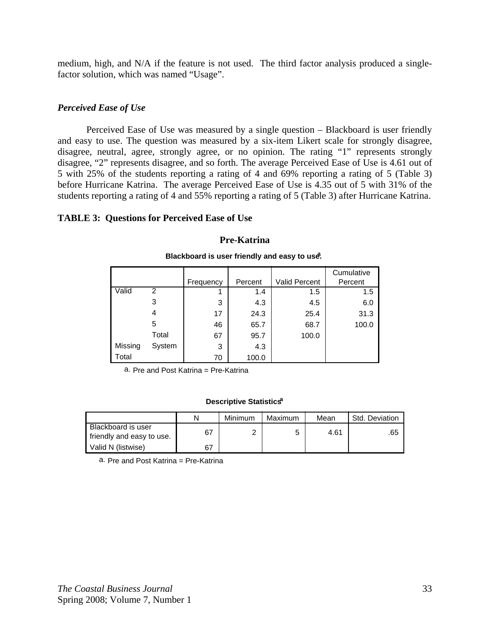medium, high, and N/A if the feature is not used. The third factor analysis produced a singlefactor solution, which was named "Usage".

# *Perceived Ease of Use*

 Perceived Ease of Use was measured by a single question – Blackboard is user friendly and easy to use. The question was measured by a six-item Likert scale for strongly disagree, disagree, neutral, agree, strongly agree, or no opinion. The rating "1" represents strongly disagree, "2" represents disagree, and so forth. The average Perceived Ease of Use is 4.61 out of 5 with 25% of the students reporting a rating of 4 and 69% reporting a rating of 5 (Table 3) before Hurricane Katrina. The average Perceived Ease of Use is 4.35 out of 5 with 31% of the students reporting a rating of 4 and 55% reporting a rating of 5 (Table 3) after Hurricane Katrina.

# **TABLE 3: Questions for Perceived Ease of Use**

#### **Pre-Katrina**

|         |        |           |         |                      | Cumulative |
|---------|--------|-----------|---------|----------------------|------------|
|         |        | Frequency | Percent | <b>Valid Percent</b> | Percent    |
| Valid   | 2      |           | 1.4     | 1.5                  | 1.5        |
|         | 3      | 3         | 4.3     | 4.5                  | 6.0        |
|         | 4      | 17        | 24.3    | 25.4                 | 31.3       |
|         | 5      | 46        | 65.7    | 68.7                 | 100.0      |
|         | Total  | 67        | 95.7    | 100.0                |            |
| Missing | System | 3         | 4.3     |                      |            |
| Total   |        | 70        | 100.0   |                      |            |

#### **Blackboard is user friendly and easy to use.**

a. Pre and Post Katrina = Pre-Katrina

#### **Descriptive Statisticsa**

|                                                 | N  | Minimum | Maximum | Mean | Std. Deviation |
|-------------------------------------------------|----|---------|---------|------|----------------|
| Blackboard is user<br>friendly and easy to use. | 67 |         |         | 4.61 | .65            |
| Valid N (listwise)                              | 67 |         |         |      |                |

a. Pre and Post Katrina = Pre-Katrina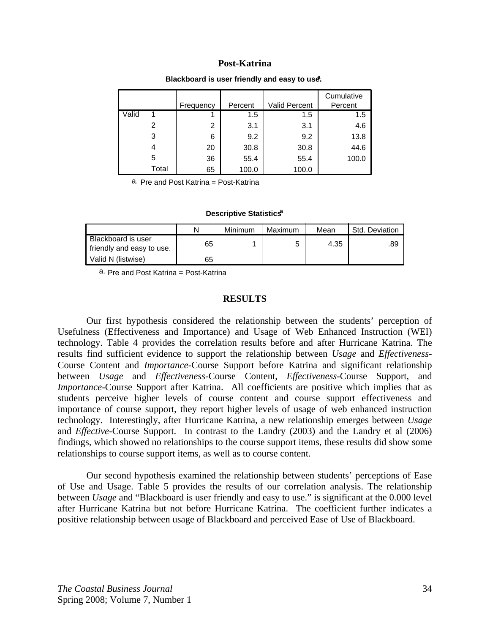|       |       |           |         |                      | Cumulative |
|-------|-------|-----------|---------|----------------------|------------|
|       |       | Frequency | Percent | <b>Valid Percent</b> | Percent    |
| Valid |       |           | 1.5     | 1.5                  | 1.5        |
|       | 2     | 2         | 3.1     | 3.1                  | 4.6        |
|       | 3     | 6         | 9.2     | 9.2                  | 13.8       |
|       | 4     | 20        | 30.8    | 30.8                 | 44.6       |
|       | 5     | 36        | 55.4    | 55.4                 | 100.0      |
|       | Total | 65        | 100.0   | 100.0                |            |

#### **Blackboard is user friendly and easy to use.**

a. Pre and Post Katrina = Post-Katrina

#### **Descriptive Statistics**<sup>a</sup>

|                                                 | N  | Minimum | Maximum | Mean | Std. Deviation |
|-------------------------------------------------|----|---------|---------|------|----------------|
| Blackboard is user<br>friendly and easy to use. | 65 |         | 5       | 4.35 | .89            |
| Valid N (listwise)                              | 65 |         |         |      |                |

a. Pre and Post Katrina = Post-Katrina

#### **RESULTS**

Our first hypothesis considered the relationship between the students' perception of Usefulness (Effectiveness and Importance) and Usage of Web Enhanced Instruction (WEI) technology. Table 4 provides the correlation results before and after Hurricane Katrina. The results find sufficient evidence to support the relationship between *Usage* and *Effectiveness*-Course Content and *Importance*-Course Support before Katrina and significant relationship between *Usage* and *Effectiveness*-Course Content, *Effectiveness*-Course Support, and *Importance*-Course Support after Katrina. All coefficients are positive which implies that as students perceive higher levels of course content and course support effectiveness and importance of course support, they report higher levels of usage of web enhanced instruction technology. Interestingly, after Hurricane Katrina, a new relationship emerges between *Usage* and *Effective*-Course Support. In contrast to the Landry (2003) and the Landry et al (2006) findings, which showed no relationships to the course support items, these results did show some relationships to course support items, as well as to course content.

Our second hypothesis examined the relationship between students' perceptions of Ease of Use and Usage. Table 5 provides the results of our correlation analysis. The relationship between *Usage* and "Blackboard is user friendly and easy to use." is significant at the 0.000 level after Hurricane Katrina but not before Hurricane Katrina. The coefficient further indicates a positive relationship between usage of Blackboard and perceived Ease of Use of Blackboard.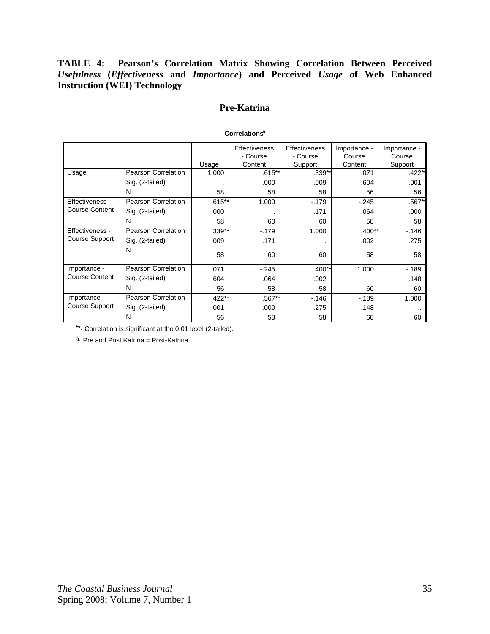**TABLE 4: Pearson's Correlation Matrix Showing Correlation Between Perceived**  *Usefulness* **(***Effectiveness* **and** *Importance***) and Perceived** *Usage* **of Web Enhanced Instruction (WEI) Technology** 

# **Pre-Katrina**

|                       |                            |          | <b>Effectiveness</b> | <b>Effectiveness</b> | Importance - | Importance - |
|-----------------------|----------------------------|----------|----------------------|----------------------|--------------|--------------|
|                       |                            |          | - Course             | - Course             | Course       | Course       |
|                       |                            | Usage    | Content              | Support              | Content      | Support      |
| Usage                 | <b>Pearson Correlation</b> | 1.000    | .615**               | $.339**$             | .071         | $.422**$     |
|                       | Sig. (2-tailed)            |          | .000                 | .009                 | .604         | .001         |
|                       | N                          | 58       | 58                   | 58                   | 56           | 56           |
| Effectiveness -       | Pearson Correlation        | $.615**$ | 1.000                | $-179$               | $-245$       | .567**       |
| <b>Course Content</b> | Sig. (2-tailed)            | .000     | $\bullet$            | .171                 | .064         | .000         |
|                       | N                          | 58       | 60                   | 60                   | 58           | 58           |
| Effectiveness -       | Pearson Correlation        | .339**   | $-179$               | 1.000                | $.400**$     | $-0.146$     |
| <b>Course Support</b> | Sig. (2-tailed)            | .009     | .171                 |                      | .002         | .275         |
|                       | N                          | 58       | 60                   | 60                   | 58           | 58           |
|                       |                            |          |                      |                      |              |              |
| Importance -          | Pearson Correlation        | .071     | $-.245$              | $.400**$             | 1.000        | $-189$       |
| <b>Course Content</b> | Sig. (2-tailed)            | .604     | .064                 | .002                 |              | .148         |
|                       | N                          | 56       | 58                   | 58                   | 60           | 60           |
| Importance -          | Pearson Correlation        | $.422**$ | $.567**$             | $-146$               | $-189$       | 1.000        |
| Course Support        | Sig. (2-tailed)            | .001     | .000                 | .275                 | .148         |              |
|                       | N                          | 56       | 58                   | 58                   | 60           | 60           |

#### **Correlationsa**

\*\*. Correlation is significant at the 0.01 level (2-tailed).

a. Pre and Post Katrina = Post-Katrina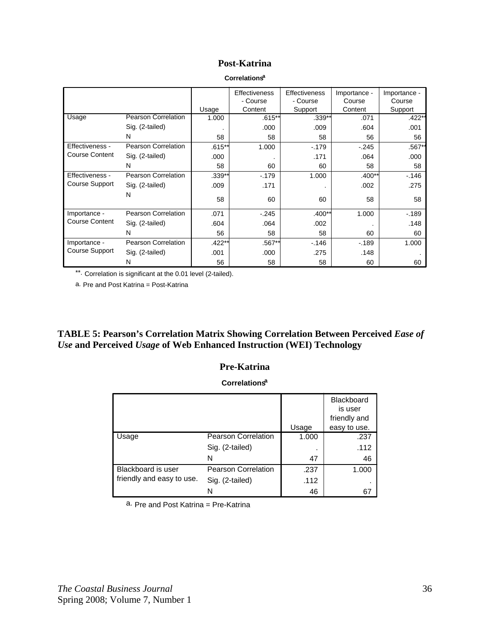|                       |                            |          | <b>Effectiveness</b> | <b>Effectiveness</b> | Importance - | Importance - |
|-----------------------|----------------------------|----------|----------------------|----------------------|--------------|--------------|
|                       |                            |          | - Course             | - Course             | Course       | Course       |
|                       |                            | Usage    | Content              | Support              | Content      | Support      |
| Usage                 | <b>Pearson Correlation</b> | 1.000    | .615**               | $.339**$             | .071         | $.422*$      |
|                       | Sig. (2-tailed)            |          | .000                 | .009                 | .604         | .001         |
|                       | N                          | 58       | 58                   | 58                   | 56           | 56           |
| Effectiveness -       | <b>Pearson Correlation</b> | $.615**$ | 1.000                | $-179$               | $-.245$      | $.567*$      |
| <b>Course Content</b> | Sig. (2-tailed)            | .000     |                      | .171                 | .064         | .000         |
|                       | N                          | 58       | 60                   | 60                   | 58           | 58           |
| Effectiveness -       | Pearson Correlation        | .339**   | $-179$               | 1.000                | $.400**$     | $-146$       |
| Course Support        | Sig. (2-tailed)            | .009     | .171                 |                      | .002         | .275         |
|                       | N                          | 58       | 60                   | 60                   | 58           | 58           |
| Importance -          | Pearson Correlation        | .071     | $-.245$              | $.400**$             | 1.000        | $-189$       |
| <b>Course Content</b> | Sig. (2-tailed)            | .604     | .064                 | .002                 |              | .148         |
|                       | N                          | 56       | 58                   | 58                   | 60           | 60           |
| Importance -          | Pearson Correlation        | $.422**$ | .567**               | $-0.146$             | $-189$       | 1.000        |
| Course Support        | Sig. (2-tailed)            | .001     | .000                 | .275                 | .148         |              |
|                       | N                          | 56       | 58                   | 58                   | 60           | 60           |

\*\*. Correlation is significant at the 0.01 level (2-tailed).

a. Pre and Post Katrina = Post-Katrina

TABLE 5: Pearson's Correlation Matrix Showing Correlation Between Perceived *Ease of Use* **and Perceived** *Usage* **of Web Enhanced Instruction (WEI) Technology** 

# **Pre-Katrina**

**Correlationsa**

|                           |                            |       | <b>Blackboard</b> |
|---------------------------|----------------------------|-------|-------------------|
|                           |                            |       | is user           |
|                           |                            |       | friendly and      |
|                           |                            | Usage | easy to use.      |
| Usage                     | <b>Pearson Correlation</b> | 1.000 | .237              |
|                           | Sig. (2-tailed)            | ٠     | .112              |
|                           | N                          | 47    | 46                |
| Blackboard is user        | <b>Pearson Correlation</b> | .237  | 1.000             |
| friendly and easy to use. | Sig. (2-tailed)            | .112  |                   |
|                           | N                          | 46    | 67                |

a. Pre and Post Katrina = Pre-Katrina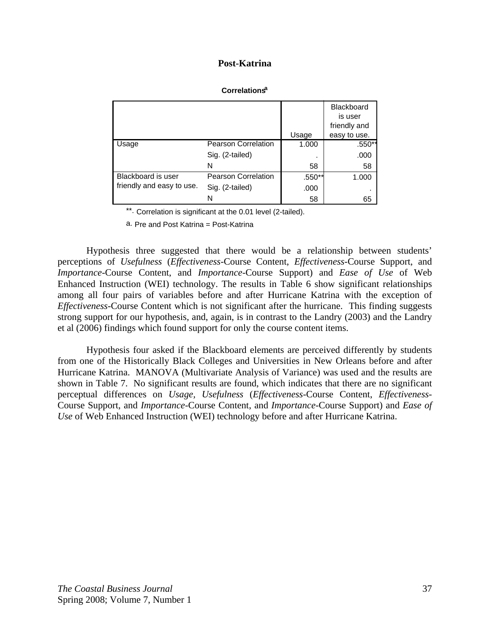|                           |                            |        | <b>Blackboard</b><br>is user<br>friendly and |
|---------------------------|----------------------------|--------|----------------------------------------------|
|                           |                            | Usage  | easy to use.                                 |
| Usage                     | <b>Pearson Correlation</b> | 1.000  | .550**                                       |
|                           | Sig. (2-tailed)            |        | .000                                         |
|                           | N                          | 58     | 58                                           |
| Blackboard is user        | <b>Pearson Correlation</b> | .550** | 1.000                                        |
| friendly and easy to use. | Sig. (2-tailed)            | .000   |                                              |
|                           | N                          | 58     | 65                                           |

#### **Correlationsa**

\*\*. Correlation is significant at the 0.01 level (2-tailed).

a. Pre and Post Katrina = Post-Katrina

Hypothesis three suggested that there would be a relationship between students' perceptions of *Usefulness* (*Effectiveness*-Course Content, *Effectiveness*-Course Support, and *Importance*-Course Content, and *Importance*-Course Support) and *Ease of Use* of Web Enhanced Instruction (WEI) technology. The results in Table 6 show significant relationships among all four pairs of variables before and after Hurricane Katrina with the exception of *Effectiveness*-Course Content which is not significant after the hurricane. This finding suggests strong support for our hypothesis, and, again, is in contrast to the Landry (2003) and the Landry et al (2006) findings which found support for only the course content items.

Hypothesis four asked if the Blackboard elements are perceived differently by students from one of the Historically Black Colleges and Universities in New Orleans before and after Hurricane Katrina. MANOVA (Multivariate Analysis of Variance) was used and the results are shown in Table 7. No significant results are found, which indicates that there are no significant perceptual differences on *Usage, Usefulness* (*Effectiveness*-Course Content, *Effectiveness*-Course Support, and *Importance*-Course Content, and *Importance*-Course Support) and *Ease of Use* of Web Enhanced Instruction (WEI) technology before and after Hurricane Katrina.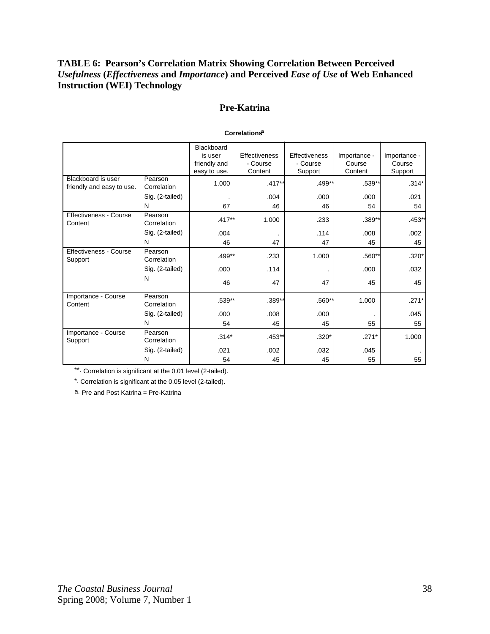# **TABLE 6: Pearson's Correlation Matrix Showing Correlation Between Perceived**  *Usefulness* **(***Effectiveness* **and** *Importance***) and Perceived** *Ease of Use* **of Web Enhanced Instruction (WEI) Technology**

# **Pre-Katrina**

|                                                 |                        | Blackboard<br>is user<br>friendly and<br>easy to use. | <b>Effectiveness</b><br>- Course<br>Content | Effectiveness<br>- Course<br>Support | Importance -<br>Course<br>Content | Importance -<br>Course<br>Support |
|-------------------------------------------------|------------------------|-------------------------------------------------------|---------------------------------------------|--------------------------------------|-----------------------------------|-----------------------------------|
| Blackboard is user<br>friendly and easy to use. | Pearson<br>Correlation | 1.000                                                 | $.417**$                                    | .499**                               | $.539**$                          | $.314*$                           |
|                                                 | Sig. (2-tailed)        |                                                       | .004                                        | .000                                 | .000                              | .021                              |
|                                                 | N                      | 67                                                    | 46                                          | 46                                   | 54                                | 54                                |
| Effectiveness - Course<br>Content               | Pearson<br>Correlation | $.417***$                                             | 1.000                                       | .233                                 | $.389**$                          | $.453*$                           |
|                                                 | Sig. (2-tailed)        | .004                                                  |                                             | .114                                 | .008                              | .002                              |
|                                                 | N                      | 46                                                    | 47                                          | 47                                   | 45                                | 45                                |
| <b>Effectiveness - Course</b><br>Support        | Pearson<br>Correlation | $.499**$                                              | .233                                        | 1.000                                | $.560**$                          | $.320*$                           |
|                                                 | Sig. (2-tailed)        | .000                                                  | .114                                        |                                      | .000                              | .032                              |
|                                                 | N                      | 46                                                    | 47                                          | 47                                   | 45                                | 45                                |
| Importance - Course<br>Content                  | Pearson<br>Correlation | .539**                                                | $.389**$                                    | $.560**$                             | 1.000                             | $.271*$                           |
|                                                 | Sig. (2-tailed)        | .000                                                  | .008                                        | .000                                 |                                   | .045                              |
|                                                 | N                      | 54                                                    | 45                                          | 45                                   | 55                                | 55                                |
| Importance - Course<br>Support                  | Pearson<br>Correlation | $.314*$                                               | $.453**$                                    | $.320*$                              | $.271*$                           | 1.000                             |
|                                                 | Sig. (2-tailed)        | .021                                                  | .002                                        | .032                                 | .045                              |                                   |
|                                                 | N                      | 54                                                    | 45                                          | 45                                   | 55                                | 55                                |

#### **Correlationsa**

\*\*. Correlation is significant at the 0.01 level (2-tailed).

\*. Correlation is significant at the 0.05 level (2-tailed).

a. Pre and Post Katrina = Pre-Katrina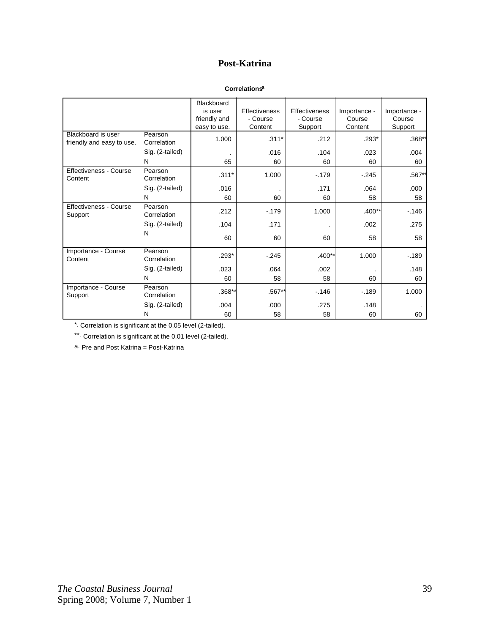#### **Correlationsa**

|                                                 |                        | <b>Blackboard</b><br>is user<br>friendly and<br>easy to use. | <b>Effectiveness</b><br>- Course<br>Content | Effectiveness<br>- Course<br>Support | Importance -<br>Course<br>Content | Importance -<br>Course<br>Support |
|-------------------------------------------------|------------------------|--------------------------------------------------------------|---------------------------------------------|--------------------------------------|-----------------------------------|-----------------------------------|
| Blackboard is user<br>friendly and easy to use. | Pearson<br>Correlation | 1.000                                                        | $.311*$                                     | .212                                 | $.293*$                           | $.368**$                          |
|                                                 | Sig. (2-tailed)        |                                                              | .016                                        | .104                                 | .023                              | .004                              |
|                                                 | N                      | 65                                                           | 60                                          | 60                                   | 60                                | 60                                |
| <b>Effectiveness - Course</b><br>Content        | Pearson<br>Correlation | $.311*$                                                      | 1.000                                       | $-179$                               | $-245$                            | .567**                            |
|                                                 | Sig. (2-tailed)        | .016                                                         |                                             | .171                                 | .064                              | .000                              |
|                                                 | N                      | 60                                                           | 60                                          | 60                                   | 58                                | 58                                |
| Effectiveness - Course<br>Support               | Pearson<br>Correlation | .212                                                         | $-179$                                      | 1.000                                | $.400**$                          | $-146$                            |
|                                                 | Sig. (2-tailed)        | .104                                                         | .171                                        |                                      | .002                              | .275                              |
|                                                 | N                      | 60                                                           | 60                                          | 60                                   | 58                                | 58                                |
| Importance - Course<br>Content                  | Pearson<br>Correlation | $.293*$                                                      | $-.245$                                     | $.400**$                             | 1.000                             | $-189$                            |
|                                                 | Sig. (2-tailed)        | .023                                                         | .064                                        | .002                                 | $\cdot$                           | .148                              |
|                                                 | N                      | 60                                                           | 58                                          | 58                                   | 60                                | 60                                |
| Importance - Course<br>Support                  | Pearson<br>Correlation | .368**                                                       | .567**                                      | $-146$                               | $-189$                            | 1.000                             |
|                                                 | Sig. (2-tailed)        | .004                                                         | .000                                        | .275                                 | .148                              |                                   |
|                                                 | N                      | 60                                                           | 58                                          | 58                                   | 60                                | 60                                |

\*. Correlation is significant at the 0.05 level (2-tailed).

\*\*. Correlation is significant at the 0.01 level (2-tailed).

a. Pre and Post Katrina = Post-Katrina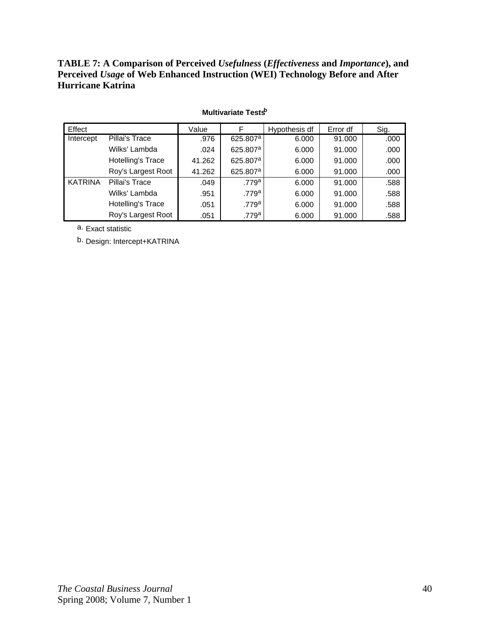# **TABLE 7: A Comparison of Perceived** *Usefulness* **(***Effectiveness* **and** *Importance***), and Perceived** *Usage* **of Web Enhanced Instruction (WEI) Technology Before and After Hurricane Katrina**

| Effect         |                          | Value  | F                    | Hypothesis df | Error df | Sig. |
|----------------|--------------------------|--------|----------------------|---------------|----------|------|
| Intercept      | Pillai's Trace           | .976   | 625.807 <sup>a</sup> | 6.000         | 91.000   | .000 |
|                | Wilks' Lambda            | .024   | 625.807 <sup>a</sup> | 6.000         | 91.000   | .000 |
|                | <b>Hotelling's Trace</b> | 41.262 | 625.807 <sup>a</sup> | 6.000         | 91.000   | .000 |
|                | Roy's Largest Root       | 41.262 | 625.807 <sup>a</sup> | 6.000         | 91.000   | .000 |
| <b>KATRINA</b> | Pillai's Trace           | .049   | .779a                | 6.000         | 91.000   | .588 |
|                | Wilks' Lambda            | .951   | .779a                | 6.000         | 91.000   | .588 |
|                | <b>Hotelling's Trace</b> | .051   | .779a                | 6.000         | 91.000   | .588 |
|                | Roy's Largest Root       | .051   | .779ª                | 6.000         | 91.000   | .588 |

#### **Multivariate Tests<sup>b</sup>**

a. Exact statistic

b. Design: Intercept+KATRINA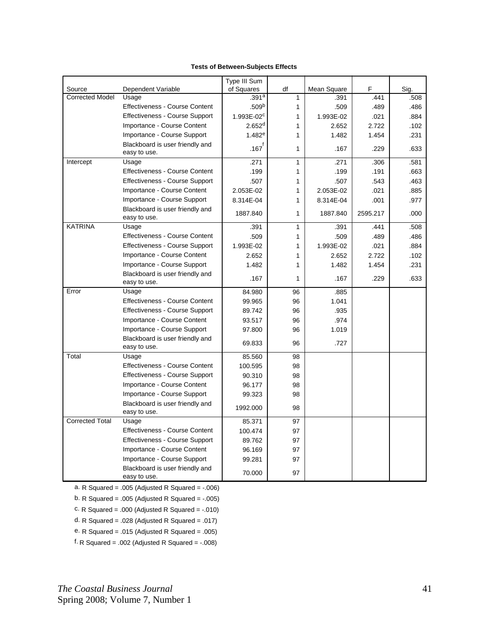|                                  |                                                 | Type III Sum               |                |             |          |      |
|----------------------------------|-------------------------------------------------|----------------------------|----------------|-------------|----------|------|
| Source<br><b>Corrected Model</b> | Dependent Variable                              | of Squares                 | df             | Mean Square | F        | Sig. |
|                                  | Usage<br><b>Effectiveness - Course Content</b>  | .391a<br>.509 <sup>b</sup> | $\overline{1}$ | .391        | .441     | .508 |
|                                  |                                                 |                            | $\mathbf{1}$   | .509        | .489     | .486 |
|                                  | Effectiveness - Course Support                  | 1.993E-02 <sup>c</sup>     | 1              | 1.993E-02   | .021     | .884 |
|                                  | Importance - Course Content                     | 2.652 <sup>d</sup>         | 1              | 2.652       | 2.722    | .102 |
|                                  | Importance - Course Support                     | $1.482^e$                  | 1              | 1.482       | 1.454    | .231 |
|                                  | Blackboard is user friendly and<br>easy to use. | $.167^\text{f}$            | 1              | .167        | .229     | .633 |
| Intercept                        | Usage                                           | .271                       | 1              | .271        | .306     | .581 |
|                                  | Effectiveness - Course Content                  | .199                       | 1              | .199        | .191     | .663 |
|                                  | Effectiveness - Course Support                  | .507                       | 1              | .507        | .543     | .463 |
|                                  | Importance - Course Content                     | 2.053E-02                  | 1              | 2.053E-02   | .021     | .885 |
|                                  | Importance - Course Support                     | 8.314E-04                  | 1              | 8.314E-04   | .001     | .977 |
|                                  | Blackboard is user friendly and<br>easy to use. | 1887.840                   | $\mathbf{1}$   | 1887.840    | 2595.217 | .000 |
| <b>KATRINA</b>                   | Usage                                           | .391                       | $\mathbf{1}$   | .391        | .441     | .508 |
|                                  | <b>Effectiveness - Course Content</b>           | .509                       | 1              | .509        | .489     | .486 |
|                                  | <b>Effectiveness - Course Support</b>           | 1.993E-02                  | 1              | 1.993E-02   | .021     | .884 |
|                                  | Importance - Course Content                     | 2.652                      | 1              | 2.652       | 2.722    | .102 |
|                                  | Importance - Course Support                     | 1.482                      | 1              | 1.482       | 1.454    | .231 |
|                                  | Blackboard is user friendly and<br>easy to use. | .167                       | 1              | .167        | .229     | .633 |
| Error                            | Usage                                           | 84.980                     | 96             | .885        |          |      |
|                                  | Effectiveness - Course Content                  | 99.965                     | 96             | 1.041       |          |      |
|                                  | Effectiveness - Course Support                  | 89.742                     | 96             | .935        |          |      |
|                                  | Importance - Course Content                     | 93.517                     | 96             | .974        |          |      |
|                                  | Importance - Course Support                     | 97.800                     | 96             | 1.019       |          |      |
|                                  | Blackboard is user friendly and<br>easy to use. | 69.833                     | 96             | .727        |          |      |
| Total                            | Usage                                           | 85.560                     | 98             |             |          |      |
|                                  | <b>Effectiveness - Course Content</b>           | 100.595                    | 98             |             |          |      |
|                                  | <b>Effectiveness - Course Support</b>           | 90.310                     | 98             |             |          |      |
|                                  | Importance - Course Content                     | 96.177                     | 98             |             |          |      |
|                                  | Importance - Course Support                     | 99.323                     | 98             |             |          |      |
|                                  | Blackboard is user friendly and<br>easy to use. | 1992.000                   | 98             |             |          |      |
| <b>Corrected Total</b>           | Usage                                           | 85.371                     | 97             |             |          |      |
|                                  | Effectiveness - Course Content                  | 100.474                    | 97             |             |          |      |
|                                  | Effectiveness - Course Support                  | 89.762                     | 97             |             |          |      |
|                                  | Importance - Course Content                     | 96.169                     | 97             |             |          |      |
|                                  | Importance - Course Support                     | 99.281                     | 97             |             |          |      |
|                                  | Blackboard is user friendly and<br>easy to use. | 70.000                     | 97             |             |          |      |

#### **Tests of Between-Subjects Effects**

a. R Squared = .005 (Adjusted R Squared = -.006)

b. R Squared = .005 (Adjusted R Squared = -.005)

c. R Squared = .000 (Adjusted R Squared = -.010)

d. R Squared = .028 (Adjusted R Squared = .017)

e. R Squared = .015 (Adjusted R Squared = .005)

f. R Squared = .002 (Adjusted R Squared =  $-.008$ )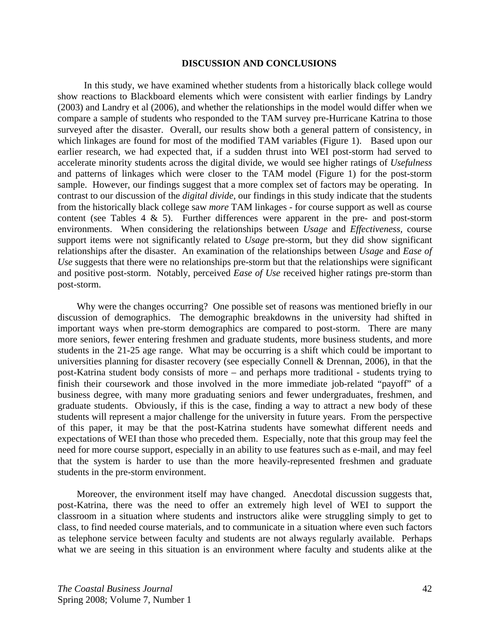#### **DISCUSSION AND CONCLUSIONS**

 In this study, we have examined whether students from a historically black college would show reactions to Blackboard elements which were consistent with earlier findings by Landry (2003) and Landry et al (2006), and whether the relationships in the model would differ when we compare a sample of students who responded to the TAM survey pre-Hurricane Katrina to those surveyed after the disaster. Overall, our results show both a general pattern of consistency, in which linkages are found for most of the modified TAM variables (Figure 1). Based upon our earlier research, we had expected that, if a sudden thrust into WEI post-storm had served to accelerate minority students across the digital divide, we would see higher ratings of *Usefulness*  and patterns of linkages which were closer to the TAM model (Figure 1) for the post-storm sample. However, our findings suggest that a more complex set of factors may be operating. In contrast to our discussion of the *digital divide,* our findings in this study indicate that the students from the historically black college saw *more* TAM linkages - for course support as well as course content (see Tables  $4 \& 5$ ). Further differences were apparent in the pre- and post-storm environments. When considering the relationships between *Usage* and *Effectiveness*, course support items were not significantly related to *Usage* pre-storm, but they did show significant relationships after the disaster. An examination of the relationships between *Usage* and *Ease of Use* suggests that there were no relationships pre-storm but that the relationships were significant and positive post-storm. Notably, perceived *Ease of Use* received higher ratings pre-storm than post-storm.

 Why were the changes occurring? One possible set of reasons was mentioned briefly in our discussion of demographics. The demographic breakdowns in the university had shifted in important ways when pre-storm demographics are compared to post-storm. There are many more seniors, fewer entering freshmen and graduate students, more business students, and more students in the 21-25 age range. What may be occurring is a shift which could be important to universities planning for disaster recovery (see especially Connell & Drennan, 2006), in that the post-Katrina student body consists of more – and perhaps more traditional - students trying to finish their coursework and those involved in the more immediate job-related "payoff" of a business degree, with many more graduating seniors and fewer undergraduates, freshmen, and graduate students. Obviously, if this is the case, finding a way to attract a new body of these students will represent a major challenge for the university in future years. From the perspective of this paper, it may be that the post-Katrina students have somewhat different needs and expectations of WEI than those who preceded them. Especially, note that this group may feel the need for more course support, especially in an ability to use features such as e-mail, and may feel that the system is harder to use than the more heavily-represented freshmen and graduate students in the pre-storm environment.

 Moreover, the environment itself may have changed. Anecdotal discussion suggests that, post-Katrina, there was the need to offer an extremely high level of WEI to support the classroom in a situation where students and instructors alike were struggling simply to get to class, to find needed course materials, and to communicate in a situation where even such factors as telephone service between faculty and students are not always regularly available. Perhaps what we are seeing in this situation is an environment where faculty and students alike at the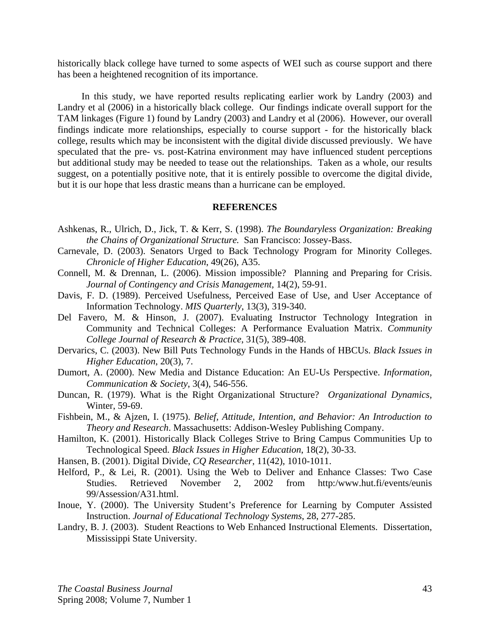historically black college have turned to some aspects of WEI such as course support and there has been a heightened recognition of its importance.

 In this study, we have reported results replicating earlier work by Landry (2003) and Landry et al (2006) in a historically black college. Our findings indicate overall support for the TAM linkages (Figure 1) found by Landry (2003) and Landry et al (2006). However, our overall findings indicate more relationships, especially to course support - for the historically black college, results which may be inconsistent with the digital divide discussed previously. We have speculated that the pre- vs. post-Katrina environment may have influenced student perceptions but additional study may be needed to tease out the relationships. Taken as a whole, our results suggest, on a potentially positive note, that it is entirely possible to overcome the digital divide, but it is our hope that less drastic means than a hurricane can be employed.

#### **REFERENCES**

- Ashkenas, R., Ulrich, D., Jick, T. & Kerr, S. (1998). *The Boundaryless Organization: Breaking the Chains of Organizational Structure.* San Francisco: Jossey-Bass.
- Carnevale, D. (2003). Senators Urged to Back Technology Program for Minority Colleges. *Chronicle of Higher Education*, 49(26), A35.
- Connell, M. & Drennan, L. (2006). Mission impossible? Planning and Preparing for Crisis. *Journal of Contingency and Crisis Management,* 14(2), 59-91.
- Davis, F. D. (1989). Perceived Usefulness, Perceived Ease of Use, and User Acceptance of Information Technology. *MIS Quarterly*, 13(3), 319-340.
- Del Favero, M. & Hinson, J. (2007). Evaluating Instructor Technology Integration in Community and Technical Colleges: A Performance Evaluation Matrix. *Community College Journal of Research & Practice*, 31(5), 389-408.
- Dervarics, C. (2003). New Bill Puts Technology Funds in the Hands of HBCUs. *Black Issues in Higher Education*, 20(3), 7.
- Dumort, A. (2000). New Media and Distance Education: An EU-Us Perspective. *Information, Communication & Society*, 3(4), 546-556.
- Duncan, R. (1979). What is the Right Organizational Structure? *Organizational Dynamics,*  Winter, 59-69.
- Fishbein, M., & Ajzen, I. (1975). *Belief, Attitude, Intention, and Behavior: An Introduction to Theory and Research*. Massachusetts: Addison-Wesley Publishing Company.
- Hamilton, K. (2001). Historically Black Colleges Strive to Bring Campus Communities Up to Technological Speed. *Black Issues in Higher Education*, 18(2), 30-33.
- Hansen, B. (2001). Digital Divide, *CQ Researcher*, 11(42), 1010-1011.
- Helford, P., & Lei, R. (2001). Using the Web to Deliver and Enhance Classes: Two Case Studies. Retrieved November 2, 2002 from http:/www.hut.fi/events/eunis 99/Assession/A31.html.
- Inoue, Y. (2000). The University Student's Preference for Learning by Computer Assisted Instruction. *Journal of Educational Technology Systems*, 28, 277-285.
- Landry, B. J. (2003). Student Reactions to Web Enhanced Instructional Elements. Dissertation, Mississippi State University.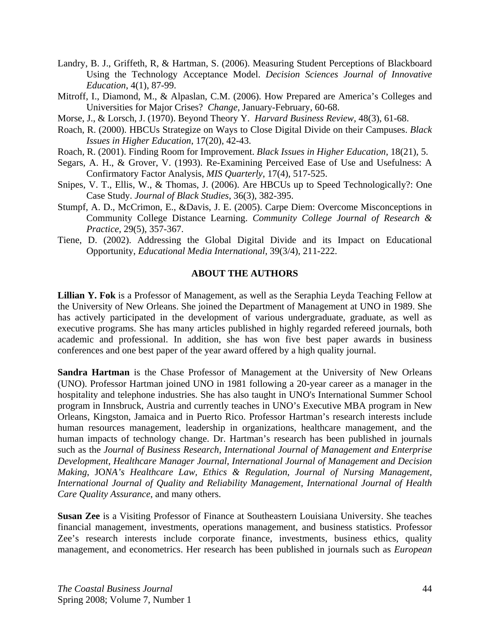- Landry, B. J., Griffeth, R, & Hartman, S. (2006). Measuring Student Perceptions of Blackboard Using the Technology Acceptance Model. *Decision Sciences Journal of Innovative Education*, 4(1), 87-99.
- Mitroff, I., Diamond, M., & Alpaslan, C.M. (2006). How Prepared are America's Colleges and Universities for Major Crises? *Change,* January-February, 60-68.
- Morse, J., & Lorsch, J. (1970). Beyond Theory Y. *Harvard Business Review,* 48(3), 61-68.
- Roach, R. (2000). HBCUs Strategize on Ways to Close Digital Divide on their Campuses. *Black Issues in Higher Education*, 17(20), 42-43.
- Roach, R. (2001). Finding Room for Improvement. *Black Issues in Higher Education*, 18(21), 5.
- Segars, A. H., & Grover, V. (1993). Re-Examining Perceived Ease of Use and Usefulness: A Confirmatory Factor Analysis, *MIS Quarterly*, 17(4), 517-525.
- Snipes, V. T., Ellis, W., & Thomas, J. (2006). Are HBCUs up to Speed Technologically?: One Case Study. *Journal of Black Studies*, 36(3), 382-395.
- Stumpf, A. D., McCrimon, E., &Davis, J. E. (2005). Carpe Diem: Overcome Misconceptions in Community College Distance Learning. *Community College Journal of Research & Practice*, 29(5), 357-367.
- Tiene, D. (2002). Addressing the Global Digital Divide and its Impact on Educational Opportunity, *Educational Media International*, 39(3/4), 211-222.

# **ABOUT THE AUTHORS**

**Lillian Y. Fok** is a Professor of Management, as well as the Seraphia Leyda Teaching Fellow at the University of New Orleans. She joined the Department of Management at UNO in 1989. She has actively participated in the development of various undergraduate, graduate, as well as executive programs. She has many articles published in highly regarded refereed journals, both academic and professional. In addition, she has won five best paper awards in business conferences and one best paper of the year award offered by a high quality journal.

**Sandra Hartman** is the Chase Professor of Management at the University of New Orleans (UNO). Professor Hartman joined UNO in 1981 following a 20-year career as a manager in the hospitality and telephone industries. She has also taught in UNO's International Summer School program in Innsbruck, Austria and currently teaches in UNO's Executive MBA program in New Orleans, Kingston, Jamaica and in Puerto Rico. Professor Hartman's research interests include human resources management, leadership in organizations, healthcare management, and the human impacts of technology change. Dr. Hartman's research has been published in journals such as the *Journal of Business Research, International Journal of Management and Enterprise Development*, *Healthcare Manager Journal, International Journal of Management and Decision Making*, JO*NA's Healthcare Law, Ethics & Regulation*, *Journal of Nursing Management, International Journal of Quality and Reliability Management*, *International Journal of Health Care Quality Assurance*, and many others.

**Susan Zee** is a Visiting Professor of Finance at Southeastern Louisiana University. She teaches financial management, investments, operations management, and business statistics. Professor Zee's research interests include corporate finance, investments, business ethics, quality management, and econometrics. Her research has been published in journals such as *European*